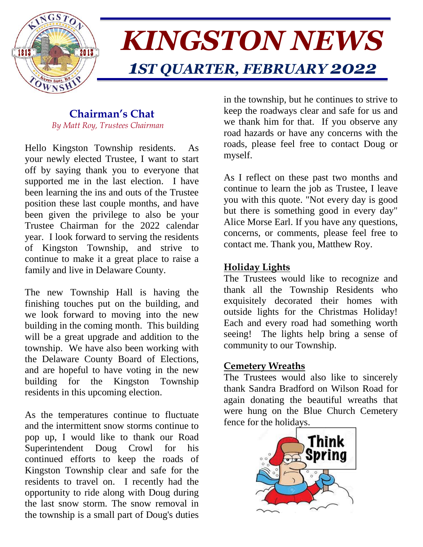

# *KINGSTON NEWS 1ST QUARTER, FEBRUARY 2022*

## **Chairman's Chat**  *By Matt Roy, Trustees Chairman*

Hello Kingston Township residents. As your newly elected Trustee, I want to start off by saying thank you to everyone that supported me in the last election. I have been learning the ins and outs of the Trustee position these last couple months, and have been given the privilege to also be your Trustee Chairman for the 2022 calendar year. I look forward to serving the residents of Kingston Township, and strive to continue to make it a great place to raise a family and live in Delaware County.

The new Township Hall is having the finishing touches put on the building, and we look forward to moving into the new building in the coming month. This building will be a great upgrade and addition to the township. We have also been working with the Delaware County Board of Elections, and are hopeful to have voting in the new building for the Kingston Township residents in this upcoming election.

As the temperatures continue to fluctuate and the intermittent snow storms continue to pop up, I would like to thank our Road Superintendent Doug Crowl for his continued efforts to keep the roads of Kingston Township clear and safe for the residents to travel on. I recently had the opportunity to ride along with Doug during the last snow storm. The snow removal in the township is a small part of Doug's duties

in the township, but he continues to strive to keep the roadways clear and safe for us and we thank him for that. If you observe any road hazards or have any concerns with the roads, please feel free to contact Doug or myself.

As I reflect on these past two months and continue to learn the job as Trustee, I leave you with this quote. "Not every day is good but there is something good in every day" Alice Morse Earl. If you have any questions, concerns, or comments, please feel free to contact me. Thank you, Matthew Roy.

# **Holiday Lights**

The Trustees would like to recognize and thank all the Township Residents who exquisitely decorated their homes with outside lights for the Christmas Holiday! Each and every road had something worth seeing! The lights help bring a sense of community to our Township.

# **Cemetery Wreaths**

The Trustees would also like to sincerely thank Sandra Bradford on Wilson Road for again donating the beautiful wreaths that were hung on the Blue Church Cemetery fence for the holidays.

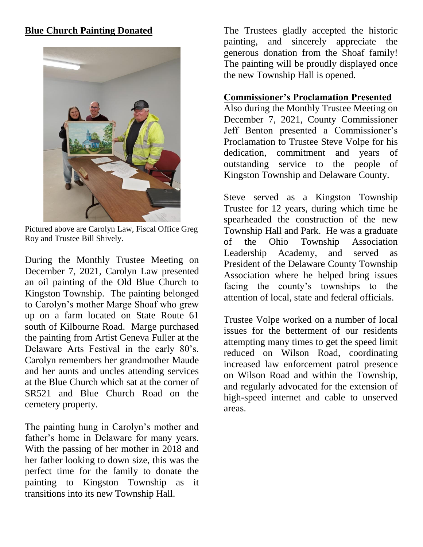# **Blue Church Painting Donated**



Pictured above are Carolyn Law, Fiscal Office Greg Roy and Trustee Bill Shively.

During the Monthly Trustee Meeting on December 7, 2021, Carolyn Law presented an oil painting of the Old Blue Church to Kingston Township. The painting belonged to Carolyn's mother Marge Shoaf who grew up on a farm located on State Route 61 south of Kilbourne Road. Marge purchased the painting from Artist Geneva Fuller at the Delaware Arts Festival in the early 80's. Carolyn remembers her grandmother Maude and her aunts and uncles attending services at the Blue Church which sat at the corner of SR521 and Blue Church Road on the cemetery property.

The painting hung in Carolyn's mother and father's home in Delaware for many years. With the passing of her mother in 2018 and her father looking to down size, this was the perfect time for the family to donate the painting to Kingston Township as it transitions into its new Township Hall.

The Trustees gladly accepted the historic painting, and sincerely appreciate the generous donation from the Shoaf family! The painting will be proudly displayed once the new Township Hall is opened.

## **Commissioner's Proclamation Presented**

Also during the Monthly Trustee Meeting on December 7, 2021, County Commissioner Jeff Benton presented a Commissioner's Proclamation to Trustee Steve Volpe for his dedication, commitment and years of outstanding service to the people of Kingston Township and Delaware County.

Steve served as a Kingston Township Trustee for 12 years, during which time he spearheaded the construction of the new Township Hall and Park. He was a graduate of the Ohio Township Association Leadership Academy, and served as President of the Delaware County Township Association where he helped bring issues facing the county's townships to the attention of local, state and federal officials.

Trustee Volpe worked on a number of local issues for the betterment of our residents attempting many times to get the speed limit reduced on Wilson Road, coordinating increased law enforcement patrol presence on Wilson Road and within the Township, and regularly advocated for the extension of high-speed internet and cable to unserved areas.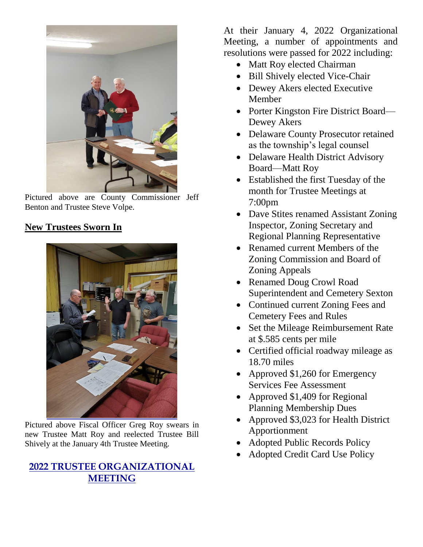

Pictured above are County Commissioner Jeff Benton and Trustee Steve Volpe.

# **New Trustees Sworn In**



Pictured above Fiscal Officer Greg Roy swears in new Trustee Matt Roy and reelected Trustee Bill Shively at the January 4th Trustee Meeting.

# **2022 TRUSTEE ORGANIZATIONAL MEETING**

At their January 4, 2022 Organizational Meeting, a number of appointments and resolutions were passed for 2022 including:

- Matt Roy elected Chairman
- Bill Shively elected Vice-Chair
- Dewey Akers elected Executive Member
- Porter Kingston Fire District Board— Dewey Akers
- Delaware County Prosecutor retained as the township's legal counsel
- Delaware Health District Advisory Board—Matt Roy
- Established the first Tuesday of the month for Trustee Meetings at 7:00pm
- Dave Stites renamed Assistant Zoning Inspector, Zoning Secretary and Regional Planning Representative
- Renamed current Members of the Zoning Commission and Board of Zoning Appeals
- Renamed Doug Crowl Road Superintendent and Cemetery Sexton
- Continued current Zoning Fees and Cemetery Fees and Rules
- Set the Mileage Reimbursement Rate at \$.585 cents per mile
- Certified official roadway mileage as 18.70 miles
- Approved \$1,260 for Emergency Services Fee Assessment
- Approved \$1,409 for Regional Planning Membership Dues
- Approved \$3,023 for Health District Apportionment
- Adopted Public Records Policy
- Adopted Credit Card Use Policy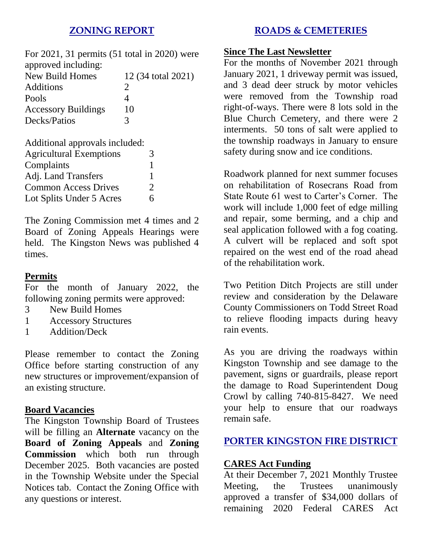# **ZONING REPORT**

For 2021, 31 permits (51 total in 2020) were approved including: New Build Homes 12 (34 total 2021) Additions 2

| Pools                      |    |  |
|----------------------------|----|--|
| <b>Accessory Buildings</b> | 10 |  |
| Decks/Patios               |    |  |
|                            |    |  |

Additional approvals included:

| <b>Agricultural Exemptions</b> | 3             |
|--------------------------------|---------------|
| Complaints                     |               |
| Adj. Land Transfers            |               |
| <b>Common Access Drives</b>    | $\mathcal{D}$ |
| Lot Splits Under 5 Acres       | 6             |

The Zoning Commission met 4 times and 2 Board of Zoning Appeals Hearings were held. The Kingston News was published 4 times.

## **Permits**

For the month of January 2022, the following zoning permits were approved:

- 3 New Build Homes
- 1 Accessory Structures
- 1 Addition/Deck

Please remember to contact the Zoning Office before starting construction of any new structures or improvement/expansion of an existing structure.

### **Board Vacancies**

The Kingston Township Board of Trustees will be filling an **Alternate** vacancy on the **Board of Zoning Appeals** and **Zoning Commission** which both run through December 2025. Both vacancies are posted in the Township Website under the Special Notices tab. Contact the Zoning Office with any questions or interest.

## **ROADS & CEMETERIES**

#### **Since The Last Newsletter**

For the months of November 2021 through January 2021, 1 driveway permit was issued, and 3 dead deer struck by motor vehicles were removed from the Township road right-of-ways. There were 8 lots sold in the Blue Church Cemetery, and there were 2 interments. 50 tons of salt were applied to the township roadways in January to ensure safety during snow and ice conditions.

Roadwork planned for next summer focuses on rehabilitation of Rosecrans Road from State Route 61 west to Carter's Corner. The work will include 1,000 feet of edge milling and repair, some berming, and a chip and seal application followed with a fog coating. A culvert will be replaced and soft spot repaired on the west end of the road ahead of the rehabilitation work.

Two Petition Ditch Projects are still under review and consideration by the Delaware County Commissioners on Todd Street Road to relieve flooding impacts during heavy rain events.

As you are driving the roadways within Kingston Township and see damage to the pavement, signs or guardrails, please report the damage to Road Superintendent Doug Crowl by calling 740-815-8427. We need your help to ensure that our roadways remain safe.

# **PORTER KINGSTON FIRE DISTRICT**

## **CARES Act Funding**

At their December 7, 2021 Monthly Trustee Meeting, the Trustees unanimously approved a transfer of \$34,000 dollars of remaining 2020 Federal CARES Act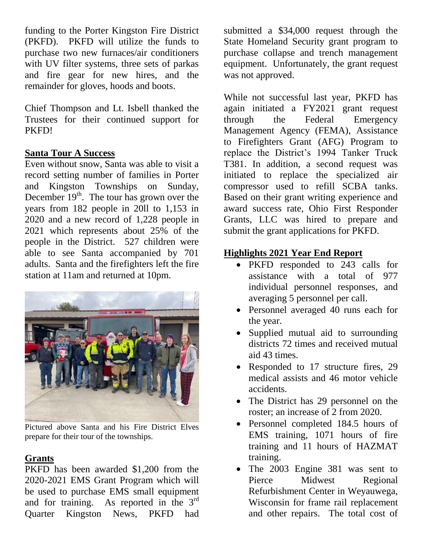funding to the Porter Kingston Fire District (PKFD). PKFD will utilize the funds to purchase two new furnaces/air conditioners with UV filter systems, three sets of parkas and fire gear for new hires, and the remainder for gloves, hoods and boots.

Chief Thompson and Lt. Isbell thanked the Trustees for their continued support for PKFD!

## **Santa Tour A Success**

Even without snow, Santa was able to visit a record setting number of families in Porter and Kingston Townships on Sunday, December  $19<sup>th</sup>$ . The tour has grown over the years from 182 people in 20ll to 1,153 in 2020 and a new record of 1,228 people in 2021 which represents about 25% of the people in the District. 527 children were able to see Santa accompanied by 701 adults. Santa and the firefighters left the fire station at 11am and returned at 10pm.



Pictured above Santa and his Fire District Elves prepare for their tour of the townships.

# **Grants**

PKFD has been awarded \$1,200 from the 2020-2021 EMS Grant Program which will be used to purchase EMS small equipment and for training. As reported in the  $3<sup>rd</sup>$ Quarter Kingston News, PKFD had

submitted a \$34,000 request through the State Homeland Security grant program to purchase collapse and trench management equipment. Unfortunately, the grant request was not approved.

While not successful last year, PKFD has again initiated a FY2021 grant request through the Federal Emergency Management Agency (FEMA), Assistance to Firefighters Grant (AFG) Program to replace the District's 1994 Tanker Truck T381. In addition, a second request was initiated to replace the specialized air compressor used to refill SCBA tanks. Based on their grant writing experience and award success rate, Ohio First Responder Grants, LLC was hired to prepare and submit the grant applications for PKFD.

# **Highlights 2021 Year End Report**

- PKFD responded to 243 calls for assistance with a total of 977 individual personnel responses, and averaging 5 personnel per call.
- Personnel averaged 40 runs each for the year.
- Supplied mutual aid to surrounding districts 72 times and received mutual aid 43 times.
- Responded to 17 structure fires, 29 medical assists and 46 motor vehicle accidents.
- The District has 29 personnel on the roster; an increase of 2 from 2020.
- Personnel completed 184.5 hours of EMS training, 1071 hours of fire training and 11 hours of HAZMAT training.
- The 2003 Engine 381 was sent to Pierce Midwest Regional Refurbishment Center in Weyauwega, Wisconsin for frame rail replacement and other repairs. The total cost of